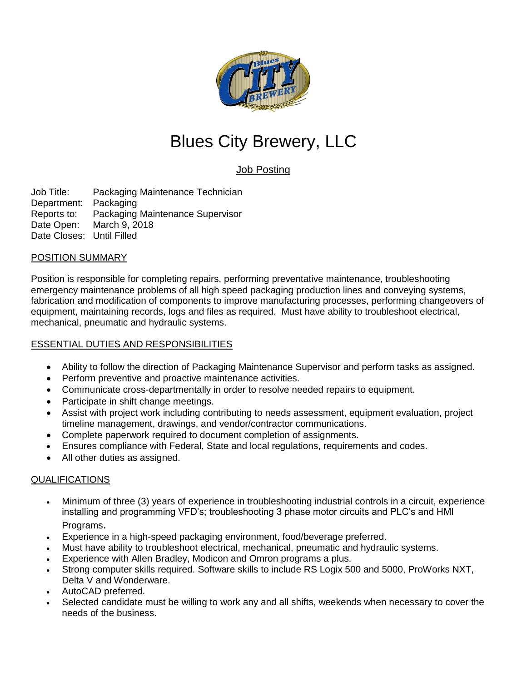

# Blues City Brewery, LLC

## Job Posting

Job Title: Packaging Maintenance Technician Department: Packaging Reports to: Packaging Maintenance Supervisor Date Open: March 9, 2018 Date Closes: Until Filled

### POSITION SUMMARY

Position is responsible for completing repairs, performing preventative maintenance, troubleshooting emergency maintenance problems of all high speed packaging production lines and conveying systems, fabrication and modification of components to improve manufacturing processes, performing changeovers of equipment, maintaining records, logs and files as required. Must have ability to troubleshoot electrical, mechanical, pneumatic and hydraulic systems.

## ESSENTIAL DUTIES AND RESPONSIBILITIES

- Ability to follow the direction of Packaging Maintenance Supervisor and perform tasks as assigned.
- Perform preventive and proactive maintenance activities.
- Communicate cross-departmentally in order to resolve needed repairs to equipment.
- Participate in shift change meetings.
- Assist with project work including contributing to needs assessment, equipment evaluation, project timeline management, drawings, and vendor/contractor communications.
- Complete paperwork required to document completion of assignments.
- Ensures compliance with Federal, State and local regulations, requirements and codes.
- All other duties as assigned.

## QUALIFICATIONS

- Minimum of three (3) years of experience in troubleshooting industrial controls in a circuit, experience installing and programming VFD's; troubleshooting 3 phase motor circuits and PLC's and HMI Programs.
- Experience in a high-speed packaging environment, food/beverage preferred.
- Must have ability to troubleshoot electrical, mechanical, pneumatic and hydraulic systems.
- Experience with Allen Bradley, Modicon and Omron programs a plus.
- Strong computer skills required. Software skills to include RS Logix 500 and 5000, ProWorks NXT, Delta V and Wonderware.
- AutoCAD preferred.
- Selected candidate must be willing to work any and all shifts, weekends when necessary to cover the needs of the business.